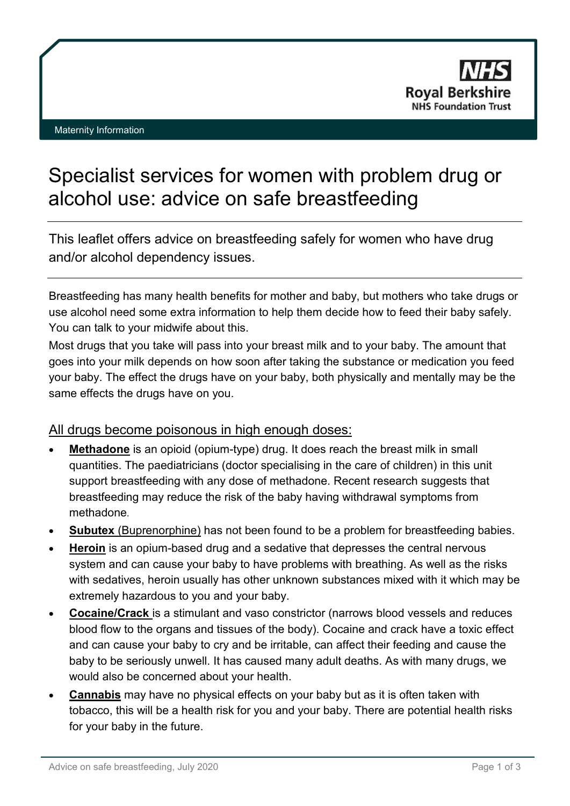# Specialist services for women with problem drug or alcohol use: advice on safe breastfeeding

This leaflet offers advice on breastfeeding safely for women who have drug and/or alcohol dependency issues.

Breastfeeding has many health benefits for mother and baby, but mothers who take drugs or use alcohol need some extra information to help them decide how to feed their baby safely. You can talk to your midwife about this.

Most drugs that you take will pass into your breast milk and to your baby. The amount that goes into your milk depends on how soon after taking the substance or medication you feed your baby. The effect the drugs have on your baby, both physically and mentally may be the same effects the drugs have on you.

## All drugs become poisonous in high enough doses:

- **Methadone** is an opioid (opium-type) drug. It does reach the breast milk in small quantities. The paediatricians (doctor specialising in the care of children) in this unit support breastfeeding with any dose of methadone. Recent research suggests that breastfeeding may reduce the risk of the baby having withdrawal symptoms from methadone.
- **Subutex** (Buprenorphine) has not been found to be a problem for breastfeeding babies.
- **Heroin** is an opium-based drug and a sedative that depresses the central nervous system and can cause your baby to have problems with breathing. As well as the risks with sedatives, heroin usually has other unknown substances mixed with it which may be extremely hazardous to you and your baby.
- **Cocaine/Crack** is a stimulant and vaso constrictor (narrows blood vessels and reduces blood flow to the organs and tissues of the body). Cocaine and crack have a toxic effect and can cause your baby to cry and be irritable, can affect their feeding and cause the baby to be seriously unwell. It has caused many adult deaths. As with many drugs, we would also be concerned about your health.
- **Cannabis** may have no physical effects on your baby but as it is often taken with tobacco, this will be a health risk for you and your baby. There are potential health risks for your baby in the future.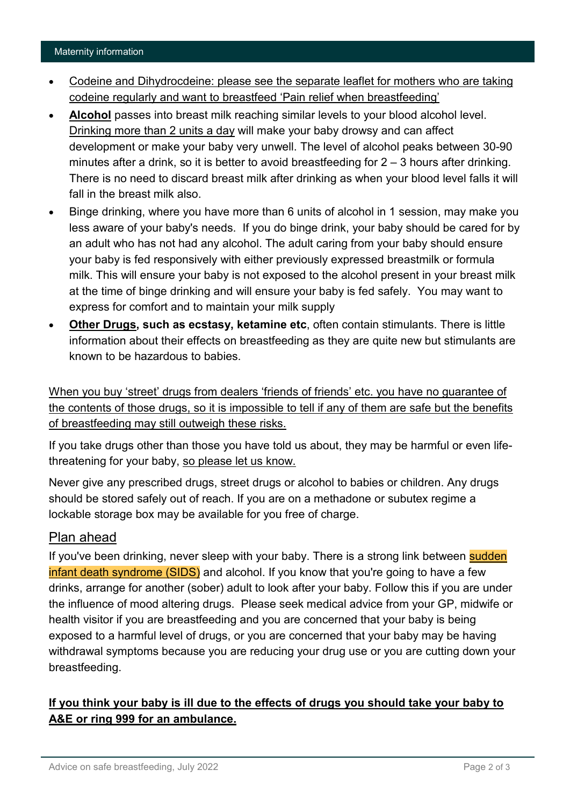#### Maternity information

- Codeine and Dihydrocdeine: please see the separate leaflet for mothers who are taking codeine regularly and want to breastfeed ['Pain relief when breastfeeding'](https://www.royalberkshire.nhs.uk/patient-information-leaflets/Maternity/Maternity---pain-relief-when-breastfeeding.htm)
- **Alcohol** passes into breast milk reaching similar levels to your blood alcohol level. Drinking more than 2 units a day will make your baby drowsy and can affect development or make your baby very unwell. The level of alcohol peaks between 30-90 minutes after a drink, so it is better to avoid breastfeeding for 2 – 3 hours after drinking. There is no need to discard breast milk after drinking as when your blood level falls it will fall in the breast milk also.
- Binge drinking, where you have more than 6 units of alcohol in 1 session, may make you less aware of your baby's needs. If you do binge drink, your baby should be cared for by an adult who has not had any alcohol. The adult caring from your baby should ensure your baby is fed responsively with either previously expressed breastmilk or formula milk. This will ensure your baby is not exposed to the alcohol present in your breast milk at the time of binge drinking and will ensure your baby is fed safely. You may want to express for comfort and to maintain your milk supply
- **Other Drugs, such as ecstasy, ketamine etc**, often contain stimulants. There is little information about their effects on breastfeeding as they are quite new but stimulants are known to be hazardous to babies.

When you buy 'street' drugs from dealers 'friends of friends' etc. you have no guarantee of the contents of those drugs, so it is impossible to tell if any of them are safe but the benefits of breastfeeding may still outweigh these risks.

If you take drugs other than those you have told us about, they may be harmful or even lifethreatening for your baby, so please let us know.

Never give any prescribed drugs, street drugs or alcohol to babies or children. Any drugs should be stored safely out of reach. If you are on a methadone or subutex regime a lockable storage box may be available for you free of charge.

### Plan ahead

If you've been drinking, never sleep with your baby. There is a strong link between **sudden** [infant death syndrome \(SIDS\)](https://www.nhs.uk/conditions/sudden-infant-death-syndrome-sids/) and alcohol. If you know that you're going to have a few drinks, arrange for another (sober) adult to look after your baby. Follow this if you are under the influence of mood altering drugs. Please seek medical advice from your GP, midwife or health visitor if you are breastfeeding and you are concerned that your baby is being exposed to a harmful level of drugs, or you are concerned that your baby may be having withdrawal symptoms because you are reducing your drug use or you are cutting down your breastfeeding.

## **If you think your baby is ill due to the effects of drugs you should take your baby to A&E or ring 999 for an ambulance.**